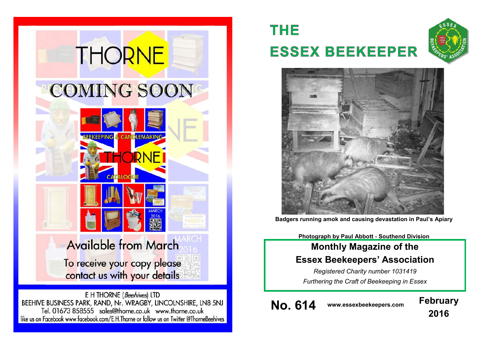

E H THORNE (Beehives) LTD BEEHIVE BUSINESS PARK, RAND, Nr. WRAGBY, LINCOLNSHIRE, LN8 5NJ Tel. 01673 858555 sales@thorne.co.uk www.thorne.co.uk like us on Facebook www.facebook.com/E.H.Thorne or follow us on Twitter @ThorneBeehives

16

# **THE ESSEX BEEKEEPER**





**Badgers running amok and causing devastation in Paul's Apiary**

**Photograph by Paul Abbott - Southend Division**

# **Monthly Magazine of the Essex Beekeepers' Association**

*Registered Charity number 1031419 Furthering the Craft of Beekeeping in Essex*

**No. 614 www.essexbeekeepers.com February**

**2016**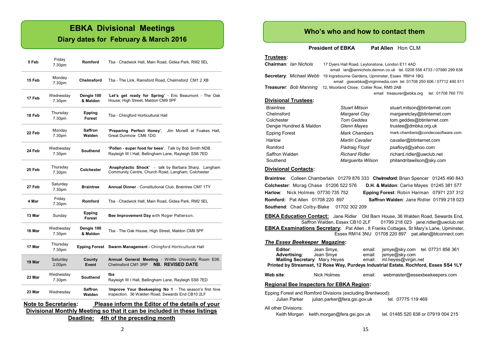# **EBKA Divisional Meetings**

#### **Diary dates for February & March 2016**

| 5 Feb                                                                          | Friday<br>7.30pm    | <b>Romford</b>           | Tba - Chadwick Hall, Main Road, Gidea Park, RM2 5EL                                                            |  |  |  |
|--------------------------------------------------------------------------------|---------------------|--------------------------|----------------------------------------------------------------------------------------------------------------|--|--|--|
| 15 Feb                                                                         | Monday<br>7.30pm    | Chelmsford               | Tba - The Link, Rainsford Road, Chelmsford CM1 2 XB                                                            |  |  |  |
| 17 Feb                                                                         | Wednesday<br>7.30pm | Dengie 100<br>& Maldon   | 'Let's get ready for Spring' - Eric Beaumont - The Oak<br>House, High Street, Maldon CM9 5PF                   |  |  |  |
| 18 Feb                                                                         | Thursday<br>7.30pm  | Epping<br>Forest         | Tba - Chingford Horticultural Hall                                                                             |  |  |  |
| 22 Feb                                                                         | Monday<br>7.30pm    | <b>Saffron</b><br>Walden | 'Preparing Perfect Honey'.<br>Jim Mcneill at Foakes Hall.<br>Great Dunmow CM6 1DG                              |  |  |  |
| 24 Feb                                                                         | Wednesday<br>7.30pm | Southend                 | 'Pollen - super food for bees'. Talk by Bob Smith NDB.<br>Rayleigh W I Hall, Bellingham Lane, Rayleigh SS6 7ED |  |  |  |
| 25 Feb                                                                         | Thursday<br>7.30pm  | Colchester               | 'Anaphylactic Shock' - talk by Barbara Sharp. Langham<br>Community Centre, Church Road, Langham, Colchester    |  |  |  |
| 27 Feb                                                                         | Saturday<br>7.30pm  | <b>Braintree</b>         | Annual Dinner - Constitutional Club, Braintree CM7 1TY                                                         |  |  |  |
| 4 Mar                                                                          | Friday<br>7.30pm    | Romford                  | Tba - Chadwick Hall, Main Road, Gidea Park, RM2 5EL                                                            |  |  |  |
| 13 Mar                                                                         | Sunday              | Epping<br><b>Forest</b>  | Bee Improvement Day with Roger Patterson.                                                                      |  |  |  |
| 16 Mar                                                                         | Wednesday<br>7.30pm | Dengie 100<br>& Maldon   | Tba - The Oak House, High Street, Maldon CM9 5PF                                                               |  |  |  |
| 17 Mar                                                                         | Thursday<br>7.30pm  | <b>Epping Forest</b>     | Swarm Management - Chingford Horticultural Hall                                                                |  |  |  |
| 19 Mar                                                                         | Saturday<br>2.00pm  | County<br>Event          | Annual General Meeting - Writtle University Room E06.<br><b>NB. REVISED DATE</b><br>Chelmsford CM1 3RP         |  |  |  |
| 23 Mar                                                                         | Wednesday<br>7.30pm | Southend                 | tba<br>Rayleigh W I Hall, Bellingham Lane, Rayleigh SS6 7ED                                                    |  |  |  |
| 23 Mar                                                                         | Wednesday           | Saffron<br>Walden        | 'Improve Your Beekeeping No 1 - The season's first hive<br>inspection. 36 Walden Road, Sewards End CB10 2LF    |  |  |  |
| <b>Note to Secretaries:</b><br>Please inform the Editor of the details of your |                     |                          |                                                                                                                |  |  |  |

**Divisional Monthly Meeting so that it can be included in these listings Deadline: 4th of the preceding month** 

#### **Who's who and how to contact them**

**President of EBKA** Pat Allen Hon CLM

# **Trustees:**

| Chairman: Ian Nichols                                             | 17 Dyers Hall Road, Leytonstone, London E11 4AD   |                                                                     |  |  |  |  |  |  |
|-------------------------------------------------------------------|---------------------------------------------------|---------------------------------------------------------------------|--|--|--|--|--|--|
|                                                                   |                                                   | email ian@iannichols.demon.co.uk tel. 0208 558 4733 / 07980 299 638 |  |  |  |  |  |  |
| Secretary: Michael Webb                                           | 19 Ingrebourne Gardens, Upminster, Essex RM14 1BQ |                                                                     |  |  |  |  |  |  |
| email qsecebka@virqinmedia.com tel. 01708 250 606 / 07712 490 511 |                                                   |                                                                     |  |  |  |  |  |  |
| Treasurer: Bob Manning                                            | 12, Moorland Close, Collier Row, RM5 2AB          |                                                                     |  |  |  |  |  |  |
|                                                                   |                                                   | tel: 01708 760 770<br>email treasurer@ebka.org                      |  |  |  |  |  |  |
| <b>Divisional Trustees:</b>                                       |                                                   |                                                                     |  |  |  |  |  |  |
| <b>Braintree</b>                                                  | Stuart Mitson                                     | stuart.mitson@btinternet.com                                        |  |  |  |  |  |  |
| Chelmsford                                                        | Margaret Clay                                     | margaretclay@btinternet.com                                         |  |  |  |  |  |  |
| Colchester                                                        | Tom Geddes                                        | tom.geddes@btinternet.com                                           |  |  |  |  |  |  |
| Dengie Hundred & Maldon                                           | Glenn Mayes                                       | trustee@dmbka.org.uk                                                |  |  |  |  |  |  |
| Epping Forest                                                     | Mark Chambers                                     | mark.chambers@condecosoftware.com                                   |  |  |  |  |  |  |
| Harlow                                                            | <b>Martin Cavalier</b>                            | cavalier@btinternet.com                                             |  |  |  |  |  |  |
| Romford                                                           | Pádraig Floyd                                     | psafloyd@yahoo.com                                                  |  |  |  |  |  |  |
| Saffron Walden                                                    | <b>Richard Ridler</b>                             | richard.ridler@uwclub.net                                           |  |  |  |  |  |  |
| Southend                                                          | Marquerita Wilson                                 | philandritawilson@sky.com                                           |  |  |  |  |  |  |

#### **Divisional Contacts:**

**Braintree**: Colleen Chamberlain 01279 876 333 **Chelmsford**: Brian Spencer 01245 490 843 **Colchester**: Morag Chase 01206 522 576 **D.H. & Maldon**: Carlie Mayes 01245 381 577 **Harlow**: Nick Holmes 07730 735 752 **Epping Forest**: Robin Harman 07971 237 312 **Romford:** Pat Allen 01708 220 897 **Saffron Walden**: Jane Ridler 01799 218 023 **Southend**: Chad Colby-Blake 01702 302 209

**EBKA Education Contact:** Jane Ridler Old Barn House, 36 Walden Road, Sewards End, Saffron Walden, Essex CB10 2LF 01799 218 023 jane.ridler@uwclub.net **EBKA Examinations Secretary:** Pat Allen , 8 Franks Cottages, St Mary's Lane, Upminster, Essex RM14 3NU 01708 220 897 pat.allen@btconnect.com

#### *The Essex Beekeeper* **Magazine:**

| Editor:<br>Advertising:                                                                                                         | Jean Smye,<br>Jean Smye<br><b>Mailing Secretary:</b> Mary Heyes email:<br>Printed by Streamset, 12 Rose Way, Purdeys Industrial Estate, Rochford, Essex SS4 1LY | email:<br>email: | ismye@sky.com<br>ml.heves@virgin.net | jsmye@sky.com tel. 07731 856 361    |  |  |  |  |  |
|---------------------------------------------------------------------------------------------------------------------------------|-----------------------------------------------------------------------------------------------------------------------------------------------------------------|------------------|--------------------------------------|-------------------------------------|--|--|--|--|--|
| Web site:                                                                                                                       | Nick Holmes                                                                                                                                                     | email:           |                                      | webmaster@essexbeekeepers.com       |  |  |  |  |  |
| <b>Regional Bee Inspectors for EBKA Region:</b>                                                                                 |                                                                                                                                                                 |                  |                                      |                                     |  |  |  |  |  |
| Epping Forest and Romford Divisions (excluding Brentwood):<br>Julian Parker julian.parker@fera.gsi.gov.uk<br>tel. 07775 119 469 |                                                                                                                                                                 |                  |                                      |                                     |  |  |  |  |  |
| All other Divisions:<br>Keith Morgan                                                                                            | keith.morgan@fera.gsi.gov.uk                                                                                                                                    |                  |                                      | tel. 01485 520 838 or 07919 004 215 |  |  |  |  |  |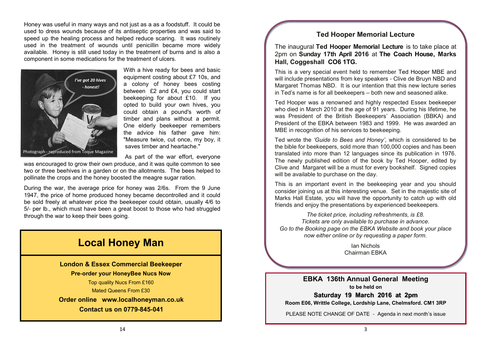Honey was useful in many ways and not just as a as a foodstuff. It could be used to dress wounds because of its antiseptic properties and was said to speed up the healing process and helped reduce scaring. It was routinely used in the treatment of wounds until penicillin became more widely available. Honey is still used today in the treatment of burns and is also a component in some medications for the treatment of ulcers.



With a hive ready for bees and basic equipment costing about £7 10s, and a colony of honey bees costing between £2 and £4, you could start beekeeping for about £10. If you opted to build your own hives, you could obtain a pound's worth of timber and plans without a permit. One elderly beekeeper remembers the advice his father gave him: "Measure twice, cut once, my boy, it saves timber and heartache."

As part of the war effort, everyone

was encouraged to grow their own produce, and it was quite common to see two or three beehives in a garden or on the allotments. The bees helped to pollinate the crops and the honey boosted the meagre sugar ration.

During the war, the average price for honey was 2/6s. From the 9 June 1947, the price of home produced honey became decontrolled and it could be sold freely at whatever price the beekeeper could obtain, usually 4/6 to 5/- per lb., which must have been a great boost to those who had struggled through the war to keep their bees going.

# **Local Honey Man**

**London & Essex Commercial Beekeeper Pre-order your HoneyBee Nucs Now** Top quality Nucs From £160

Mated Queens From £30

**Order online [www.localhoneyman.co.uk](http://www.localhoneyman.co.uk) Contact us on 0779-845-041**

### **Ted Hooper Memorial Lecture**

The inaugural **Ted Hooper Memorial Lecture** is to take place at 2pm on **Sunday 17th April 2016** at **[The Coach House,](http://www.markshall.org.uk/weddings-functions/the-coach-house/) Marks Hall, Coggeshall CO6 1TG.**

This is a very special event held to remember [Ted Hooper MBE](http://ebka.org/whats-on/ted-hooper-memorial-lectures/ted-hooper/) and will include presentations from key speakers - Clive de Bruyn NBD and Margaret Thomas NBD. It is our intention that this new lecture series in Ted's name is for all beekeepers – both new and seasoned alike.

Ted Hooper was a renowned and highly respected Essex beekeeper who died in March 2010 at the age of 91 years. During his lifetime, he was President of the British Beekeepers' Association (BBKA) and President of the EBKA between 1983 and 1999. He was awarded an MBE in recognition of his services to beekeeping.

Ted wrote the *'Guide to Bees and Honey'*, which is considered to be the bible for beekeepers, sold more than 100,000 copies and has been translated into more than 12 languages since its publication in 1976. The newly published edition of the book by Ted Hooper, edited by Clive and Margaret will be a must for every bookshelf. Signed copies will be available to purchase on the day.

This is an important event in the beekeeping year and you should consider joining us at this interesting venue. Set in the majestic site of Marks Hall Estate, you will have the opportunity to catch up with old friends and enjoy the presentations by experienced beekeepers.

*The ticket price, including refreshments, is £8. Tickets are only available to purchase in advance. Go to the Booking page on the EBKA Website and book your place now either online or by requesting a paper form.*

> Ian Nichols Chairman EBKA

**EBKA 136th Annual General Meeting to be held on**

**Saturday 19 March 2016 at 2pm Room E06, Writtle College, Lordship Lane, Chelmsford. CM1 3RP**

PLEASE NOTE CHANGE OF DATE - Agenda in next month's issue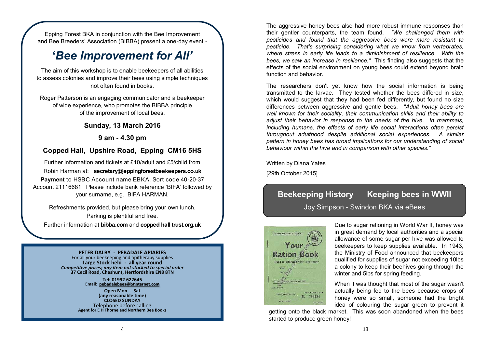Epping Forest BKA in conjunction with the Bee Improvement and Bee Breeders' Association (BIBBA) present a one-day event -

# **'***Bee Improvement for All'*

The aim of this workshop is to enable beekeepers of all abilities to assess colonies and improve their bees using simple techniques not often found in books.

Roger Patterson is an engaging communicator and a beekeeper of wide experience, who promotes the BIBBA principle of the improvement of local bees.

### **Sunday, 13 March 2016**

**9 am - 4.30 pm**

### **Copped Hall, Upshire Road, Epping CM16 5HS**

Robin Harman at: **[secretary@eppingforestbeekeepers.co.uk](mailto:secretary@eppingforestbeekeepers.co.uk)** Further information and tickets at £10/adult and £5/child from **Payment** to HSBC Account name EBKA, Sort code 40-20-37 Account 21116681. Please include bank reference 'BIFA' followed by your surname, e.g. BIFA HARMAN.

Refreshments provided, but please bring your own lunch. Parking is plentiful and free. Further information at **bibba.com** and **copped hall trust.org.uk**

#### **PETER DALBY - PEBADALE APIARIES**

For all your beekeeping and apitherapy supplies **Large Stock held - all year round** *Competitive prices; any item not stocked to special order* **37 Cecil Road, Cheshunt, Hertfordshire EN8 8TN**

> **Tel: 01992 622645 Email: [pebadalebees@btinternet.com](mailto:pebadalebees@btinternet.com)**

**Open Mon - Sat (any reasonable time) CLOSED SUNDAY** Telephone before calling **Agent for E H Thorne and Northern Bee Books** The aggressive honey bees also had more robust immune responses than their gentler counterparts, the team found. *"We challenged them with pesticides and found that the aggressive bees were more resistant to pesticide. That's surprising considering what we know from vertebrates, where stress in early life leads to a diminishment of resilience. With the bees, we saw an increase in resilience."* This finding also suggests that the effects of the social environment on young bees could extend beyond brain function and behavior.

The researchers don't yet know how the social information is being transmitted to the larvae. They tested whether the bees differed in size, which would suggest that they had been fed differently, but found no size differences between aggressive and gentle bees. *"Adult honey bees are well known for their sociality, their communication skills and their ability to adjust their behavior in response to the needs of the hive. In mammals, including humans, the effects of early life social interactions often persist throughout adulthood despite additional social experiences. A similar pattern in honey bees has broad implications for our understanding of social behaviour within the hive and in comparison with other species."* 

Written by Diana Yates

[29th October 2015]

# **Beekeeping History Keeping bees in WWII**  Joy Simpson - Swindon BKA via eBees



Due to sugar rationing in World War II, honey was in great demand by local authorities and a special allowance of some sugar per hive was allowed to beekeepers to keep supplies available. In 1943, the Ministry of Food announced that beekeepers qualified for supplies of sugar not exceeding 10lbs a colony to keep their beehives going through the winter and 5lbs for spring feeding.

When it was thought that most of the sugar wasn't actually being fed to the bees because crops of honey were so small, someone had the bright idea of colouring the sugar green to prevent it

getting onto the black market. This was soon abandoned when the bees started to produce green honey!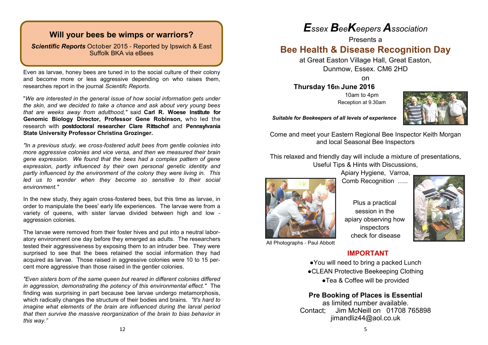### **Will your bees be wimps or warriors?**

*Scientific Reports* October 2015 - Reported by Ipswich & East Suffolk BKA via eBees

Even as larvae, honey bees are tuned in to the social culture of their colony and become more or less aggressive depending on who raises them, researches report in the journal *Scientifc Reports*.

"*We are interested in the general issue of how social information gets under the skin, and we decided to take a chance and ask about very young bees that are weeks away from adulthood,"* said **Carl R. Woese Institute for Genomic Biology Director, Professor Gene Robinson,** who led the research with **postdoctoral researcher Clare Rittschof** and **Pennsylvania State University Professor Christina Grozinger.** 

*"In a previous study, we cross*-*fostered adult bees from gentle colonies into more aggressive colonies and vice versa, and then we measured their brain gene expression. We found that the bees had a complex pattern of gene expression, partly influenced by their own personal genetic identity and partly influenced by the environment of the colony they were living in. This led us to wonder when they become so sensitive to their social environment."* 

In the new study, they again cross-fostered bees, but this time as larvae, in order to manipulate the bees' early life experiences. The larvae were from a variety of queens, with sister larvae divided between high and low aggression colonies.

The larvae were removed from their foster hives and put into a neutral laboratory environment one day before they emerged as adults. The researchers tested their aggressiveness by exposing them to an intruder bee. They were surprised to see that the bees retained the social information they had acquired as larvae. Those raised in aggressive colonies were 10 to 15 percent more aggressive than those raised in the gentler colonies.

*"Even sisters born of the same queen but reared in different colonies differed in aggression, demonstrating the potency of this environmental effect."* The finding was surprising in part because bee larvae undergo metamorphosis, which radically changes the structure of their bodies and brains. *"It's hard to imagine what elements of the brain are influenced during the larval period that then survive the massive reorganization of the brain to bias behavior in this way."*

# *Essex BeeKeepers Association*

Presents a

# **Bee Health & Disease Recognition Day**

at Great Easton Village Hall, Great Easton, Dunmow, Essex. CM6 2HD

on

**Thursday 16th June 2016** 10am to 4pm Reception at 9.30am



*Suitable for Beekeepers of all levels of experience*

Come and meet your Eastern Regional Bee Inspector Keith Morgan and local Seasonal Bee Inspectors

This relaxed and friendly day will include a mixture of presentations, Useful Tips & Hints with Discussions,



Apiary Hygiene, Varroa, Comb Recognition …..





Plus a practical session in the apiary observing how inspectors check for disease



 **IMPORTANT**

●You will need to bring a packed Lunch ●CLEAN Protective Beekeeping Clothing ●Tea & Coffee will be provided

**Pre Booking of Places is Essential** as limited number available. Contact; Jim McNeill on 01708 765898 jimandliz44@aol.co.uk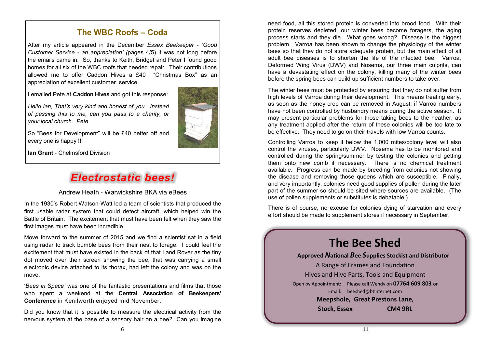### **The WBC Roofs – Coda**

After my article appeared in the December *Essex Beekeeper* - *'Good Customer Service* - *an appreciation' (*pages 4/5) it was not long before the emails came in. So, thanks to Keith, Bridget and Peter I found good homes for all six of the WBC roofs that needed repair. Their contributions allowed me to offer Caddon Hives a £40 "Christmas Box" as an appreciation of excellent customer service.

I emailed Pete at **Caddon Hives** and got this response:

*Hello Ian, That's very kind and honest of you. Instead of passing this to me, can you pass to a charity, or your local church. Pete*



**Ian Grant** - Chelmsford Division

# *Electrostatic bees!*

Andrew Heath - Warwickshire BKA via eBees

In the 1930's Robert Watson-Watt led a team of scientists that produced the first usable radar system that could detect aircraft, which helped win the Battle of Britain. The excitement that must have been felt when they saw the first images must have been incredible.

Move forward to the summer of 2015 and we find a scientist sat in a field using radar to track bumble bees from their nest to forage. I could feel the excitement that must have existed in the back of that Land Rover as the tiny dot moved over their screen showing the bee, that was carrying a small electronic device attached to its thorax, had left the colony and was on the move.

'*Bees in Space'* was one of the fantastic presentations and films that those who spent a weekend at the **Central Association of Beekeepers' Conference** in Kenilworth enjoyed mid November.

Did you know that it is possible to measure the electrical activity from the nervous system at the base of a sensory hair on a bee? Can you imagine

need food, all this stored protein is converted into brood food. With their protein reserves depleted, our winter bees become foragers, the aging process starts and they die. What goes wrong? Disease is the biggest problem. Varroa has been shown to change the physiology of the winter bees so that they do not store adequate protein, but the main effect of all adult bee diseases is to shorten the life of the infected bee. Varroa, Deformed Wing Virus (DWV) and Nosema, our three main culprits, can have a devastating effect on the colony, killing many of the winter bees before the spring bees can build up sufficient numbers to take over.

The winter bees must be protected by ensuring that they do not suffer from high levels of Varroa during their development. This means treating early, as soon as the honey crop can be removed in August; if Varroa numbers have not been controlled by husbandry means during the active season. It may present particular problems for those taking bees to the heather, as any treatment applied after the return of these colonies will be too late to be effective. They need to go on their travels with low Varroa counts.

Controlling Varroa to keep it below the 1,000 mites/colony level will also control the viruses, particularly DWV. Nosema has to be monitored and controlled during the spring/summer by testing the colonies and getting them onto new comb if necessary. There is no chemical treatment available. Progress can be made by breeding from colonies not showing the disease and removing those queens which are susceptible. Finally, and very importantly, colonies need good supplies of pollen during the later part of the summer so should be sited where sources are available. (The use of pollen supplements or substitutes is debatable.)

There is of course, no excuse for colonies dying of starvation and every effort should be made to supplement stores if necessary in September.

# **The Bee Shed Approved** *N***ational** *B***ee** *S***upplies Stockist and Distributor** A Range of Frames and Foundation Hives and Hive Parts, Tools and Equipment Open by Appointment: Please call Wendy on **07764 609 803** or Email: [beeshed@btinternet.com](mailto:beeshed@btinternet.com)  **Meepshole, Great Prestons Lane, Stock, Essex CM4 9RL**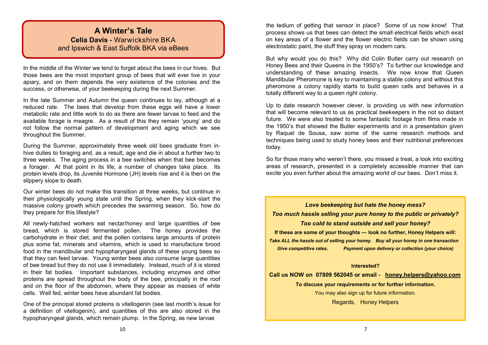### **A Winter's Tale Celia Davis -** Warwickshire BKA and Ipswich & East Suffolk BKA via eBees

In the middle of the Winter we tend to forget about the bees in our hives. But those bees are the most important group of bees that will ever live in your apiary, and on them depends the very existence of the colonies and the success, or otherwise, of your beekeeping during the next Summer.

In the late Summer and Autumn the queen continues to lay, although at a reduced rate. The bees that develop from these eggs will have a lower metabolic rate and little work to do as there are fewer larvae to feed and the available forage is meagre. As a result of this they remain 'young' and do not follow the normal pattern of development and aging which we see throughout the Summer.

During the Summer, approximately three week old bees graduate from inhive duties to foraging and, as a result, age and die in about a further two to three weeks. The aging process in a bee switches when that bee becomes a forager. At that point in its life, a number of changes take place. Its protein levels drop, its Juvenile Hormone (JH) levels rise and it is then on the slippery slope to death.

Our winter bees do not make this transition at three weeks, but continue in their physiologically young state until the Spring, when they kick-start the massive colony growth which precedes the swarming season. So, how do they prepare for this lifestyle?

All newly-hatched workers eat nectar/honey and large quantities of bee bread, which is stored fermented pollen. The honey provides the carbohydrate in their diet, and the pollen contains large amounts of protein plus some fat, minerals and vitamins, which is used to manufacture brood food in the mandibular and hypopharyngeal glands of these young bees so that they can feed larvae. Young winter bees also consume large quantities of bee bread but they do not use it immediately. Instead, much of it is stored in their fat bodies. Important substances, including enzymes and other proteins are spread throughout the body of the bee, principally in the roof and on the floor of the abdomen, where they appear as masses of white cells. Well fed, winter bees have abundant fat bodies.

a definition of vitellogenin), and quantities of this are also stored in the One of the principal stored proteins is vitellogenin (see last month's issue for hypopharyngeal glands, which remain plump. In the Spring, as new larvae

the tedium of getting that sensor in place? Some of us now know! That process shows us that bees can detect the small electrical fields which exist on key areas of a flower and the flower electric fields can be shown using electrostatic paint, the stuff they spray on modern cars.

But why would you do this? Why did Colin Butler carry out research on Honey Bees and their Queens in the 1950's? To further our knowledge and understanding of these amazing insects. We now know that Queen Mandibular Pheromone is key to maintaining a stable colony and without this pheromone a colony rapidly starts to build queen cells and behaves in a totally different way to a queen right colony.

Up to date research however clever, is providing us with new information that will become relevant to us as practical beekeepers in the not so distant future. We were also treated to some fantastic footage from films made in the 1950's that showed the Butler experiments and in a presentation given by Raquel de Sousa, saw some of the same research methods and techniques being used to study honey bees and their nutritional preferences today.

So for those many who weren't there, you missed a treat, a look into exciting areas of research, presented in a completely accessible manner that can excite you even further about the amazing world of our bees. Don't miss it.

*Love beekeeping but hate the honey mess? Too much hassle selling your pure honey to the public or privately? Too cold to stand outside and sell your honey?* **If these are some of your thoughts — look no further, Honey Helpers will:** *Take ALL the hassle out of selling your honey. Buy all your honey in one transaction Give competitive rates. Payment upon delivery or collection (your choice)*

#### **Interested?**

**Call us NOW on 07809 562045 or email - [honey.helpers@yahoo.com](mailto:honey.helpers@yahoo.com)**

**To discuss your requirements or for further information.** You may also sign up for future information.

Regards, Honey Helpers